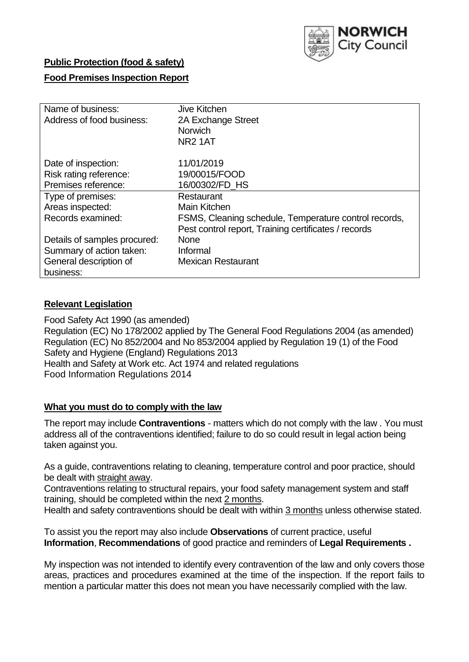

# **Public Protection (food & safety)**

# **Food Premises Inspection Report**

| Name of business:            | Jive Kitchen                                          |  |  |  |  |  |
|------------------------------|-------------------------------------------------------|--|--|--|--|--|
| Address of food business:    | 2A Exchange Street                                    |  |  |  |  |  |
|                              | <b>Norwich</b>                                        |  |  |  |  |  |
|                              | NR <sub>2</sub> 1AT                                   |  |  |  |  |  |
| Date of inspection:          | 11/01/2019                                            |  |  |  |  |  |
| Risk rating reference:       | 19/00015/FOOD                                         |  |  |  |  |  |
| Premises reference:          | 16/00302/FD HS                                        |  |  |  |  |  |
| Type of premises:            | Restaurant                                            |  |  |  |  |  |
| Areas inspected:             | <b>Main Kitchen</b>                                   |  |  |  |  |  |
| Records examined:            | FSMS, Cleaning schedule, Temperature control records, |  |  |  |  |  |
|                              | Pest control report, Training certificates / records  |  |  |  |  |  |
| Details of samples procured: | <b>None</b>                                           |  |  |  |  |  |
| Summary of action taken:     | Informal                                              |  |  |  |  |  |
| General description of       | <b>Mexican Restaurant</b>                             |  |  |  |  |  |
| business:                    |                                                       |  |  |  |  |  |

#### **Relevant Legislation**

Food Safety Act 1990 (as amended) Regulation (EC) No 178/2002 applied by The General Food Regulations 2004 (as amended) Regulation (EC) No 852/2004 and No 853/2004 applied by Regulation 19 (1) of the Food Safety and Hygiene (England) Regulations 2013 Health and Safety at Work etc. Act 1974 and related regulations Food Information Regulations 2014

#### **What you must do to comply with the law**

The report may include **Contraventions** - matters which do not comply with the law . You must address all of the contraventions identified; failure to do so could result in legal action being taken against you.

As a guide, contraventions relating to cleaning, temperature control and poor practice, should be dealt with straight away.

Contraventions relating to structural repairs, your food safety management system and staff training, should be completed within the next 2 months.

Health and safety contraventions should be dealt with within 3 months unless otherwise stated.

To assist you the report may also include **Observations** of current practice, useful **Information**, **Recommendations** of good practice and reminders of **Legal Requirements .**

My inspection was not intended to identify every contravention of the law and only covers those areas, practices and procedures examined at the time of the inspection. If the report fails to mention a particular matter this does not mean you have necessarily complied with the law.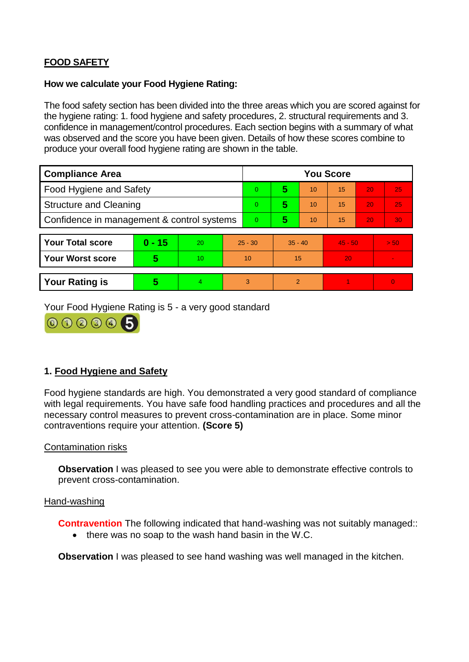# **FOOD SAFETY**

#### **How we calculate your Food Hygiene Rating:**

The food safety section has been divided into the three areas which you are scored against for the hygiene rating: 1. food hygiene and safety procedures, 2. structural requirements and 3. confidence in management/control procedures. Each section begins with a summary of what was observed and the score you have been given. Details of how these scores combine to produce your overall food hygiene rating are shown in the table.

| <b>Compliance Area</b>                     |          |    |                | <b>You Score</b> |                |    |           |    |                |  |  |
|--------------------------------------------|----------|----|----------------|------------------|----------------|----|-----------|----|----------------|--|--|
| Food Hygiene and Safety                    |          |    |                | $\Omega$         | 5              | 10 | 15        | 20 | 25             |  |  |
| <b>Structure and Cleaning</b>              |          |    | $\Omega$       | 5                | 10             | 15 | 20        | 25 |                |  |  |
| Confidence in management & control systems |          |    | $\overline{0}$ | 5                | 10             | 15 | 20        | 30 |                |  |  |
|                                            |          |    |                |                  |                |    |           |    |                |  |  |
| <b>Your Total score</b>                    | $0 - 15$ | 20 | $25 - 30$      |                  | $35 - 40$      |    | $45 - 50$ |    | > 50           |  |  |
| <b>Your Worst score</b>                    | 5        | 10 | 10             |                  | 15             |    | 20        |    | $\blacksquare$ |  |  |
|                                            |          |    |                |                  |                |    |           |    |                |  |  |
| <b>Your Rating is</b>                      | 5        | 4  | 3              |                  | $\overline{2}$ |    |           |    | $\Omega$       |  |  |

Your Food Hygiene Rating is 5 - a very good standard



# **1. Food Hygiene and Safety**

Food hygiene standards are high. You demonstrated a very good standard of compliance with legal requirements. You have safe food handling practices and procedures and all the necessary control measures to prevent cross-contamination are in place. Some minor contraventions require your attention. **(Score 5)**

### Contamination risks

**Observation** I was pleased to see you were able to demonstrate effective controls to prevent cross-contamination.

#### Hand-washing

**Contravention** The following indicated that hand-washing was not suitably managed::

• there was no soap to the wash hand basin in the W.C.

**Observation I** was pleased to see hand washing was well managed in the kitchen.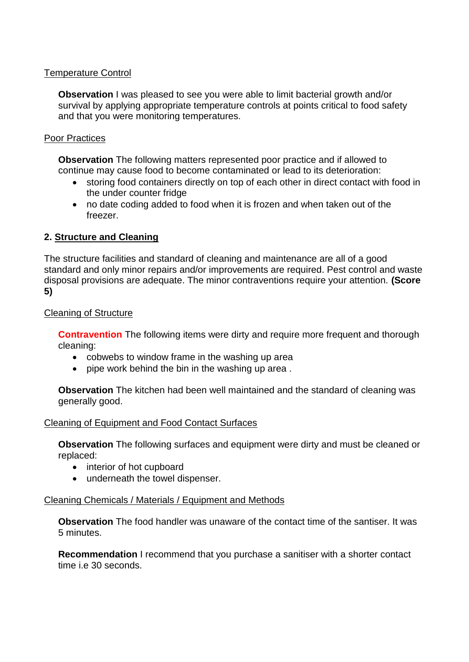## Temperature Control

**Observation** I was pleased to see you were able to limit bacterial growth and/or survival by applying appropriate temperature controls at points critical to food safety and that you were monitoring temperatures.

### Poor Practices

**Observation** The following matters represented poor practice and if allowed to continue may cause food to become contaminated or lead to its deterioration:

- storing food containers directly on top of each other in direct contact with food in the under counter fridge
- no date coding added to food when it is frozen and when taken out of the freezer.

# **2. Structure and Cleaning**

The structure facilities and standard of cleaning and maintenance are all of a good standard and only minor repairs and/or improvements are required. Pest control and waste disposal provisions are adequate. The minor contraventions require your attention. **(Score 5)**

### Cleaning of Structure

**Contravention** The following items were dirty and require more frequent and thorough cleaning:

- cobwebs to window frame in the washing up area
- pipe work behind the bin in the washing up area.

**Observation** The kitchen had been well maintained and the standard of cleaning was generally good.

### Cleaning of Equipment and Food Contact Surfaces

**Observation** The following surfaces and equipment were dirty and must be cleaned or replaced:

- interior of hot cupboard
- underneath the towel dispenser.

### Cleaning Chemicals / Materials / Equipment and Methods

**Observation** The food handler was unaware of the contact time of the santiser. It was 5 minutes.

**Recommendation** I recommend that you purchase a sanitiser with a shorter contact time i.e 30 seconds.